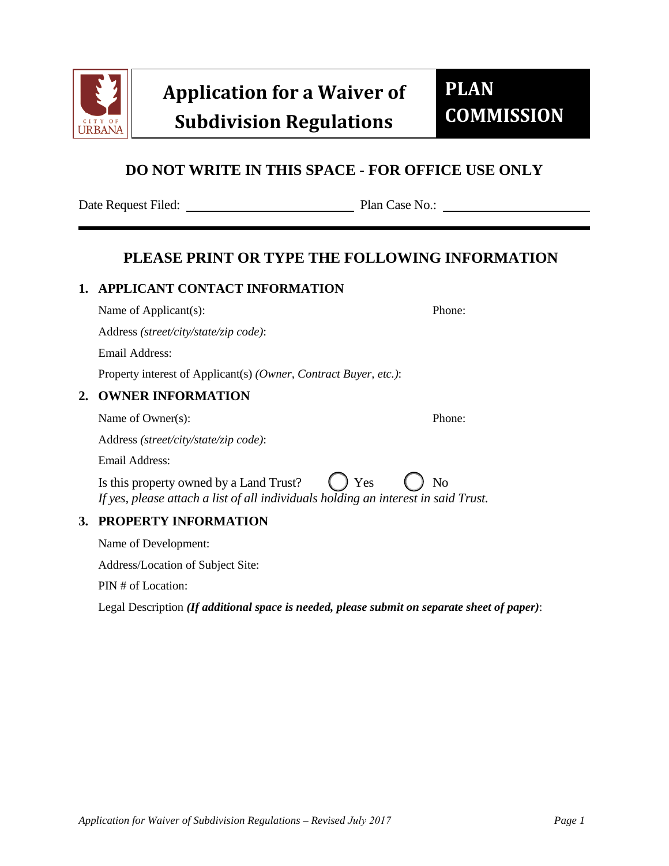

# **DO NOT WRITE IN THIS SPACE - FOR OFFICE USE ONLY**

Date Request Filed: Plan Case No.:

## **PLEASE PRINT OR TYPE THE FOLLOWING INFORMATION**

#### **1. APPLICANT CONTACT INFORMATION**

Name of Applicant(s): Phone:

Address *(street/city/state/zip code)*:

Email Address:

Property interest of Applicant(s) *(Owner, Contract Buyer, etc.)*:

### **2. OWNER INFORMATION**

Name of Owner(s): Phone:

Address *(street/city/state/zip code)*:

Email Address:

Is this property owned by a Land Trust?  $\left( \right)$  Yes  $\left( \right)$  No *If yes, please attach a list of all individuals holding an interest in said Trust.*

#### **3. PROPERTY INFORMATION**

Name of Development:

Address/Location of Subject Site:

PIN # of Location:

Legal Description *(If additional space is needed, please submit on separate sheet of paper)*: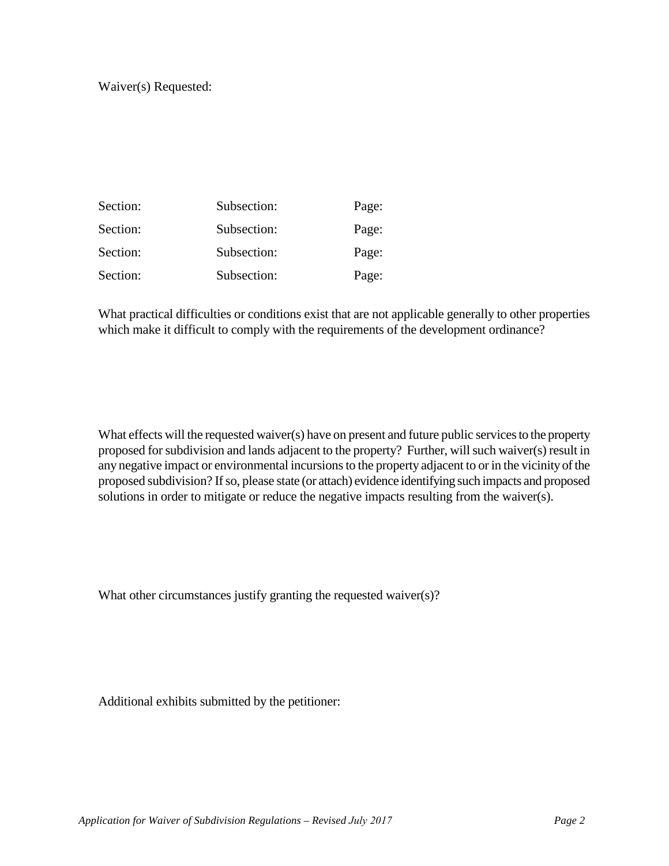| Section: | Subsection: | Page: |
|----------|-------------|-------|
| Section: | Subsection: | Page: |
| Section: | Subsection: | Page: |
| Section: | Subsection: | Page: |

What practical difficulties or conditions exist that are not applicable generally to other properties which make it difficult to comply with the requirements of the development ordinance?

What effects will the requested waiver(s) have on present and future public services to the property proposed for subdivision and lands adjacent to the property? Further, will such waiver(s) result in any negative impact or environmental incursions to the property adjacent to or in the vicinity of the proposed subdivision? If so, please state (or attach) evidence identifying such impacts and proposed solutions in order to mitigate or reduce the negative impacts resulting from the waiver(s).

What other circumstances justify granting the requested waiver(s)?

Additional exhibits submitted by the petitioner: